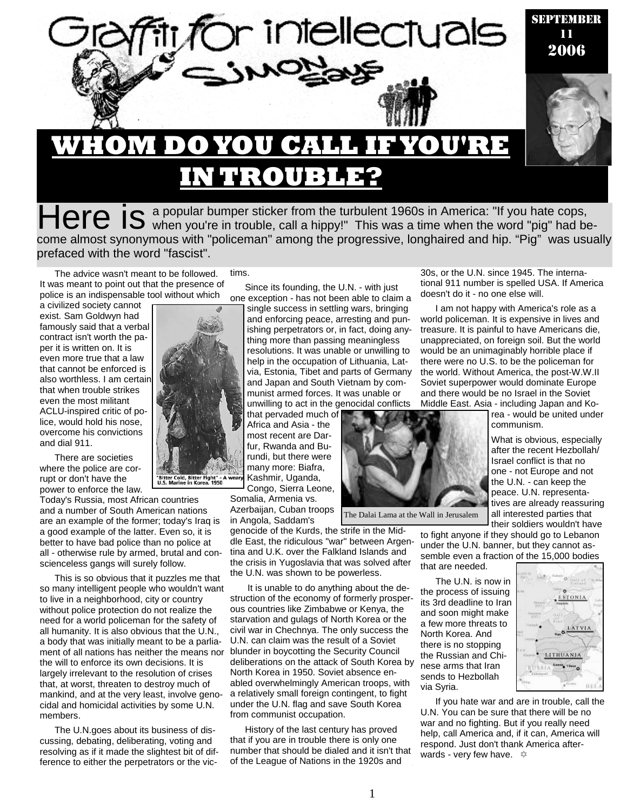

Here is a popular bumper sticker from the turbulent 1960s in America: "If you hate cops, when you're in trouble, call a hippy!" This was a time when the word "pig" had become almost synonymous with "policeman" among the progressive, longhaired and hip. "Pig" was usually prefaced with the word "fascist".

The advice wasn't meant to be followed. It was meant to point out that the presence of police is an indispensable tool without which

a civilized society cannot exist. Sam Goldwyn had famously said that a verbal contract isn't worth the paper it is written on. It is even more true that a law that cannot be enforced is also worthless. I am certain that when trouble strikes even the most militant ACLU-inspired critic of police, would hold his nose, overcome his convictions and dial 911.

There are societies where the police are corrupt or don't have the power to enforce the law.

Today's Russia, most African countries and a number of South American nations are an example of the former; today's Iraq is a good example of the latter. Even so, it is better to have bad police than no police at all - otherwise rule by armed, brutal and conscienceless gangs will surely follow.

"Bitter Cold, Bitter Fight" - A<br>U.S. Marine in Korea, 1950

This is so obvious that it puzzles me that so many intelligent people who wouldn't want to live in a neighborhood, city or country without police protection do not realize the need for a world policeman for the safety of all humanity. It is also obvious that the U.N., a body that was initially meant to be a parliament of all nations has neither the means nor the will to enforce its own decisions. It is largely irrelevant to the resolution of crises that, at worst, threaten to destroy much of mankind, and at the very least, involve genocidal and homicidal activities by some U.N. members.

The U.N.goes about its business of discussing, debating, deliberating, voting and resolving as if it made the slightest bit of difference to either the perpetrators or the victims.

Since its founding, the U.N. - with just one exception - has not been able to claim a

single success in settling wars, bringing and enforcing peace, arresting and punishing perpetrators or, in fact, doing anything more than passing meaningless resolutions. It was unable or unwilling to help in the occupation of Lithuania, Latvia, Estonia, Tibet and parts of Germany and Japan and South Vietnam by communist armed forces. It was unable or unwilling to act in the genocidal conflicts

that pervaded much of Africa and Asia - the most recent are Darfur, Rwanda and Burundi, but there were many more: Biafra, Kashmir, Uganda, Congo, Sierra Leone,

Somalia, Armenia vs. Azerbaijan, Cuban troops in Angola, Saddam's

genocide of the Kurds, the strife in the Middle East, the ridiculous "war" between Argentina and U.K. over the Falkland Islands and the crisis in Yugoslavia that was solved after the U.N. was shown to be powerless.

 It is unable to do anything about the destruction of the economy of formerly prosperous countries like Zimbabwe or Kenya, the starvation and gulags of North Korea or the civil war in Chechnya. The only success the U.N. can claim was the result of a Soviet blunder in boycotting the Security Council deliberations on the attack of South Korea by North Korea in 1950. Soviet absence enabled overwhelmingly American troops, with a relatively small foreign contingent, to fight under the U.N. flag and save South Korea from communist occupation.

History of the last century has proved that if you are in trouble there is only one number that should be dialed and it isn't that of the League of Nations in the 1920s and

and there would be no Israel in the Soviet Middle East. Asia - including Japan and Korea - would be united under communism.

The Dalai Lama at the Wall in Jerusalem

to fight anyone if they should go to Lebanon under the U.N. banner, but they cannot assemble even a fraction of the 15,000 bodies that are needed.

30s, or the U.N. since 1945. The international 911 number is spelled USA. If America

I am not happy with America's role as a world policeman. It is expensive in lives and treasure. It is painful to have Americans die, unappreciated, on foreign soil. But the world would be an unimaginably horrible place if there were no U.S. to be the policeman for the world. Without America, the post-W.W.II Soviet superpower would dominate Europe

doesn't do it - no one else will.

The U.N. is now in the process of issuing its 3rd deadline to Iran and soon might make a few more threats to North Korea. And there is no stopping the Russian and Chinese arms that Iran sends to Hezbollah via Syria.

If you hate war and are in trouble, call the U.N. You can be sure that there will be no war and no fighting. But if you really need help, call America and, if it can, America will respond. Just don't thank America afterwards - very few have.  $\approx$ 

![](_page_0_Picture_21.jpeg)

What is obvious, especially after the recent Hezbollah/ Israel conflict is that no one - not Europe and not the U.N. - can keep the peace. U.N. representa-

tives are already reassuring all interested parties that their soldiers wouldn't have

![](_page_0_Picture_25.jpeg)

![](_page_0_Picture_26.jpeg)

1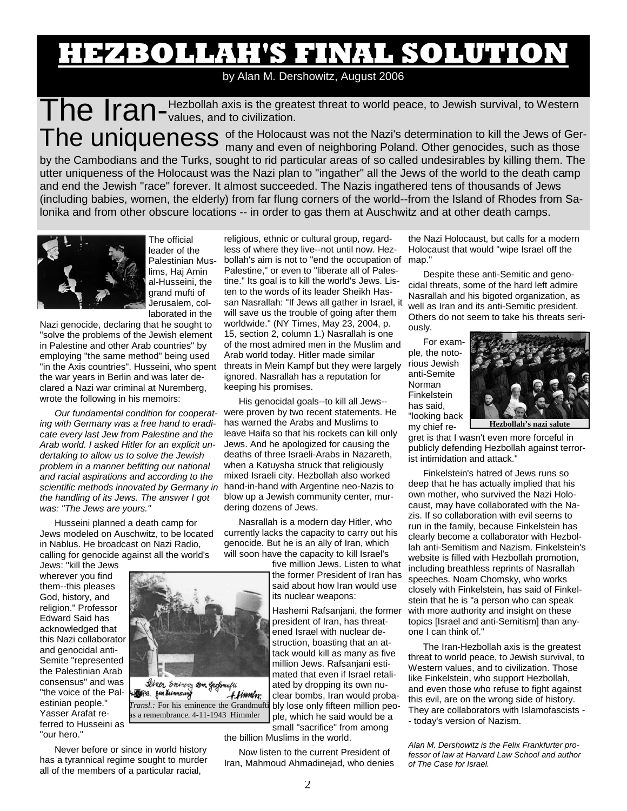# **HEZBOLLAH'S FINAL SOLUTION**

by Alan M. Dershowitz, August 2006

The Iran-Hezbollah axis is the greatest threat to world peace, to Jewish survival, to Western The Iran-Values, and to civilization.

The uniqueness of the Holocaust was not the Nazi's determination to kill the Jews of Ger-<br>The uniqueness many and even of neighboring Poland. Other genocides, such as those by the Cambodians and the Turks, sought to rid particular areas of so called undesirables by killing them. The utter uniqueness of the Holocaust was the Nazi plan to "ingather" all the Jews of the world to the death camp and end the Jewish "race" forever. It almost succeeded. The Nazis ingathered tens of thousands of Jews (including babies, women, the elderly) from far flung corners of the world--from the Island of Rhodes from Salonika and from other obscure locations -- in order to gas them at Auschwitz and at other death camps.

![](_page_1_Picture_4.jpeg)

The official leader of the Palestinian Muslims, Haj Amin al-Husseini, the grand mufti of Jerusalem, collaborated in the

Nazi genocide, declaring that he sought to "solve the problems of the Jewish element in Palestine and other Arab countries" by employing "the same method" being used "in the Axis countries". Husseini, who spent the war years in Berlin and was later declared a Nazi war criminal at Nuremberg, wrote the following in his memoirs:

*Our fundamental condition for cooperating with Germany was a free hand to eradicate every last Jew from Palestine and the Arab world. I asked Hitler for an explicit undertaking to allow us to solve the Jewish problem in a manner befitting our national and racial aspirations and according to the scientific methods innovated by Germany in the handling of its Jews. The answer I got was: "The Jews are yours."* 

Husseini planned a death camp for Jews modeled on Auschwitz, to be located in Nablus. He broadcast on Nazi Radio, calling for genocide against all the world's

Jews: "kill the Jews wherever you find them--this pleases God, history, and religion." Professor Edward Said has acknowledged that this Nazi collaborator and genocidal anti-Semite "represented the Palestinian Arab consensus" and was "the voice of the Palestinian people." Yasser Arafat referred to Husseini as "our hero."

![](_page_1_Picture_10.jpeg)

Never before or since in world history has a tyrannical regime sought to murder all of the members of a particular racial,

religious, ethnic or cultural group, regardless of where they live--not until now. Hezbollah's aim is not to "end the occupation of Palestine," or even to "liberate all of Palestine." Its goal is to kill the world's Jews. Listen to the words of its leader Sheikh Hassan Nasrallah: "If Jews all gather in Israel, it will save us the trouble of going after them worldwide." (NY Times, May 23, 2004, p. 15, section 2, column 1.) Nasrallah is one of the most admired men in the Muslim and Arab world today. Hitler made similar threats in Mein Kampf but they were largely ignored. Nasrallah has a reputation for keeping his promises.

His genocidal goals--to kill all Jews- were proven by two recent statements. He has warned the Arabs and Muslims to leave Haifa so that his rockets can kill only Jews. And he apologized for causing the deaths of three Israeli-Arabs in Nazareth, when a Katuysha struck that religiously mixed Israeli city. Hezbollah also worked hand-in-hand with Argentine neo-Nazis to blow up a Jewish community center, murdering dozens of Jews.

Nasrallah is a modern day Hitler, who currently lacks the capacity to carry out his genocide. But he is an ally of Iran, which will soon have the capacity to kill Israel's

> five million Jews. Listen to what the former President of Iran has said about how Iran would use its nuclear weapons:

Hashemi Rafsanjani, the former president of Iran, has threatened Israel with nuclear destruction, boasting that an attack would kill as many as five million Jews. Rafsanjani estimated that even if Israel retaliated by dropping its own nuclear bombs, Iran would probably lose only fifteen million people, which he said would be a small "sacrifice" from among

the billion Muslims in the world.

Now listen to the current President of Iran, Mahmoud Ahmadinejad, who denies

the Nazi Holocaust, but calls for a modern Holocaust that would "wipe Israel off the map."

Despite these anti-Semitic and genocidal threats, some of the hard left admire Nasrallah and his bigoted organization, as well as Iran and its anti-Semitic president. Others do not seem to take his threats seriously.

For example, the notorious Jewish anti-Semite Norman Finkelstein has said, "looking back my chief re-

![](_page_1_Picture_22.jpeg)

**Hezbollah's nazi** 

gret is that I wasn't even more forceful in publicly defending Hezbollah against terrorist intimidation and attack."

Finkelstein's hatred of Jews runs so deep that he has actually implied that his own mother, who survived the Nazi Holocaust, may have collaborated with the Nazis. If so collaboration with evil seems to run in the family, because Finkelstein has clearly become a collaborator with Hezbollah anti-Semitism and Nazism. Finkelstein's website is filled with Hezbollah promotion, including breathless reprints of Nasrallah speeches. Noam Chomsky, who works closely with Finkelstein, has said of Finkelstein that he is "a person who can speak with more authority and insight on these topics [Israel and anti-Semitism] than anyone I can think of."

The Iran-Hezbollah axis is the greatest threat to world peace, to Jewish survival, to Western values, and to civilization. Those like Finkelstein, who support Hezbollah, and even those who refuse to fight against this evil, are on the wrong side of history. They are collaborators with Islamofascists - - today's version of Nazism.

*Alan M. Dershowitz is the Felix Frankfurter professor of law at Harvard Law School and author of The Case for Israel.*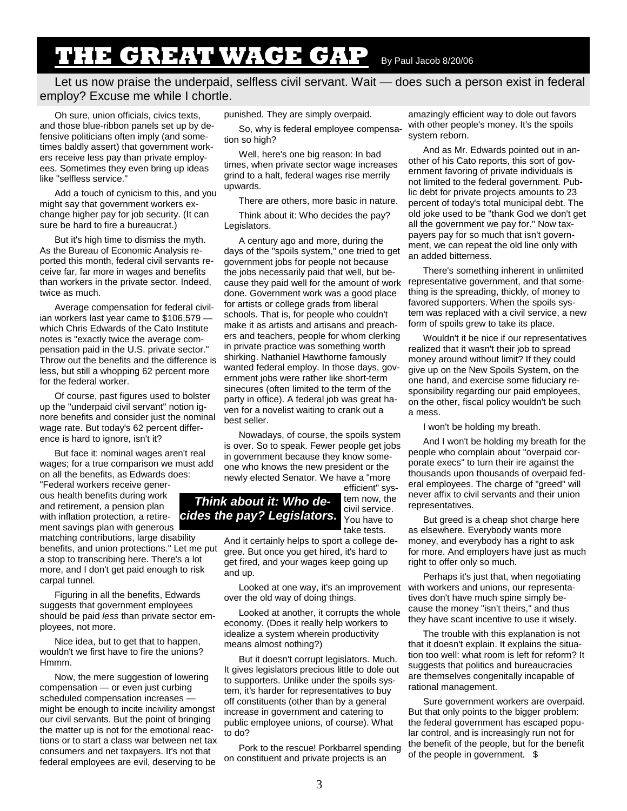## **THE GREAT WAGE GAP** By Paul Jacob 8/20/06

Let us now praise the underpaid, selfless civil servant. Wait — does such a person exist in federal employ? Excuse me while I chortle.

Oh sure, union officials, civics texts, and those blue-ribbon panels set up by defensive politicians often imply (and sometimes baldly assert) that government workers receive less pay than private employees. Sometimes they even bring up ideas like "selfless service."

Add a touch of cynicism to this, and you might say that government workers exchange higher pay for job security. (It can sure be hard to fire a bureaucrat.)

But it's high time to dismiss the myth. As the Bureau of Economic Analysis reported this month, federal civil servants receive far, far more in wages and benefits than workers in the private sector. Indeed, twice as much.

Average compensation for federal civilian workers last year came to \$106,579 which Chris Edwards of the Cato Institute notes is "exactly twice the average compensation paid in the U.S. private sector." Throw out the benefits and the difference is less, but still a whopping 62 percent more for the federal worker.

Of course, past figures used to bolster up the "underpaid civil servant" notion ignore benefits and consider just the nominal wage rate. But today's 62 percent difference is hard to ignore, isn't it?

But face it: nominal wages aren't real wages; for a true comparison we must add on all the benefits, as Edwards does: "Federal workers receive gener-

ous health benefits during work and retirement, a pension plan with inflation protection, a retirement savings plan with generous

matching contributions, large disability benefits, and union protections." Let me put a stop to transcribing here. There's a lot more, and I don't get paid enough to risk carpal tunnel.

Figuring in all the benefits, Edwards suggests that government employees should be paid *less* than private sector employees, not more.

Nice idea, but to get that to happen, wouldn't we first have to fire the unions? Hmmm.

Now, the mere suggestion of lowering compensation — or even just curbing scheduled compensation increases might be enough to incite incivility amongst our civil servants. But the point of bringing the matter up is not for the emotional reactions or to start a class war between net tax consumers and net taxpayers. It's not that federal employees are evil, deserving to be punished. They are simply overpaid.

So, why is federal employee compensation so high?

Well, here's one big reason: In bad times, when private sector wage increases grind to a halt, federal wages rise merrily upwards.

There are others, more basic in nature.

Think about it: Who decides the pay? Legislators.

A century ago and more, during the days of the "spoils system," one tried to get government jobs for people not because the jobs necessarily paid that well, but because they paid well for the amount of work done. Government work was a good place for artists or college grads from liberal schools. That is, for people who couldn't make it as artists and artisans and preachers and teachers, people for whom clerking in private practice was something worth shirking. Nathaniel Hawthorne famously wanted federal employ. In those days, government jobs were rather like short-term sinecures (often limited to the term of the party in office). A federal job was great haven for a novelist waiting to crank out a best seller.

Nowadays, of course, the spoils system is over. So to speak. Fewer people get jobs in government because they know someone who knows the new president or the newly elected Senator. We have a "more

> efficient" system now, the civil service. You have to take tests.

#### *Think about it: Who decides the pay? Legislators.*

And it certainly helps to sport a college degree. But once you get hired, it's hard to get fired, and your wages keep going up and up.

Looked at one way, it's an improvement over the old way of doing things.

Looked at another, it corrupts the whole economy. (Does it really help workers to idealize a system wherein productivity means almost nothing?)

But it doesn't corrupt legislators. Much. It gives legislators precious little to dole out to supporters. Unlike under the spoils system, it's harder for representatives to buy off constituents (other than by a general increase in government and catering to public employee unions, of course). What to do?

Pork to the rescue! Porkbarrel spending on constituent and private projects is an

amazingly efficient way to dole out favors with other people's money. It's the spoils system reborn.

And as Mr. Edwards pointed out in another of his Cato reports, this sort of government favoring of private individuals is not limited to the federal government. Public debt for private projects amounts to 23 percent of today's total municipal debt. The old joke used to be "thank God we don't get all the government we pay for." Now taxpayers pay for so much that isn't government, we can repeat the old line only with an added bitterness.

There's something inherent in unlimited representative government, and that something is the spreading, thickly, of money to favored supporters. When the spoils system was replaced with a civil service, a new form of spoils grew to take its place.

Wouldn't it be nice if our representatives realized that it wasn't their job to spread money around without limit? If they could give up on the New Spoils System, on the one hand, and exercise some fiduciary responsibility regarding our paid employees, on the other, fiscal policy wouldn't be such a mess.

I won't be holding my breath.

And I won't be holding my breath for the people who complain about "overpaid corporate execs" to turn their ire against the thousands upon thousands of overpaid federal employees. The charge of "greed" will never affix to civil servants and their union representatives.

But greed is a cheap shot charge here as elsewhere. Everybody wants more money, and everybody has a right to ask for more. And employers have just as much right to offer only so much.

Perhaps it's just that, when negotiating with workers and unions, our representatives don't have much spine simply because the money "isn't theirs," and thus they have scant incentive to use it wisely.

The trouble with this explanation is not that it doesn't explain. It explains the situation too well: what room is left for reform? It suggests that politics and bureaucracies are themselves congenitally incapable of rational management.

Sure government workers are overpaid. But that only points to the bigger problem: the federal government has escaped popular control, and is increasingly run not for the benefit of the people, but for the benefit of the people in government. \$